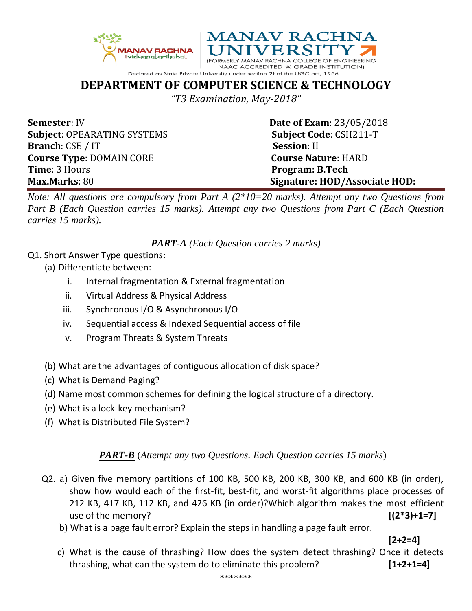



**DEPARTMENT OF COMPUTER SCIENCE & TECHNOLOGY**

*"T3 Examination, May-2018"*

**Semester**: IV **Date of Exam**: 23/05/2018 **Subject**: OPEARATING SYSTEMS **Subject Code**: CSH211-T **Branch**: CSE / IT **Session**: II **Course Type:** DOMAIN CORE **COULD COURSE COURSE RATURE:** HARD **Time**: 3 Hours **Program: B.Tech** 

**Max.Marks**: 80 **Signature: HOD/Associate HOD:**

*Note: All questions are compulsory from Part A (2\*10=20 marks). Attempt any two Questions from Part B (Each Question carries 15 marks). Attempt any two Questions from Part C (Each Question carries 15 marks).* 

*PART-A (Each Question carries 2 marks)*

- Q1. Short Answer Type questions:
	- (a) Differentiate between:
		- i. Internal fragmentation & External fragmentation
		- ii. Virtual Address & Physical Address
		- iii. Synchronous I/O & Asynchronous I/O
		- iv. Sequential access & Indexed Sequential access of file
		- v. Program Threats & System Threats
	- (b) What are the advantages of contiguous allocation of disk space?
	- (c) What is Demand Paging?
	- (d) Name most common schemes for defining the logical structure of a directory.
	- (e) What is a lock-key mechanism?
	- (f) What is Distributed File System?

## *PART-B* (*Attempt any two Questions. Each Question carries 15 marks*)

- Q2. a) Given five memory partitions of 100 KB, 500 KB, 200 KB, 300 KB, and 600 KB (in order), show how would each of the first-fit, best-fit, and worst-fit algorithms place processes of 212 KB, 417 KB, 112 KB, and 426 KB (in order)?Which algorithm makes the most efficient use of the memory? **[(2\*3)+1=7]**
	- b) What is a page fault error? Explain the steps in handling a page fault error.

**[2+2=4]**

 c) What is the cause of thrashing? How does the system detect thrashing? Once it detects thrashing, what can the system do to eliminate this problem? **[1+2+1=4]**